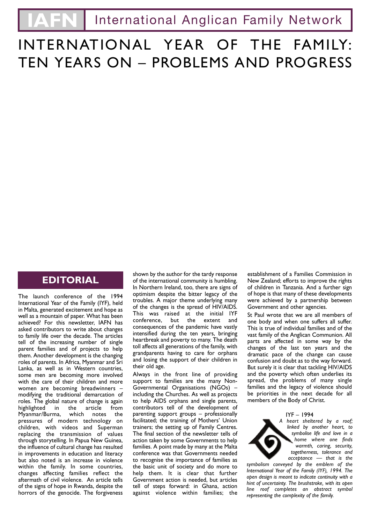# INTERNATIONAL YEAR OF THE FAMILY: TEN YEARS ON – PROBLEMS AND PROGRESS

### **EDITORIAL**

The launch conference of the 1994 International Year of the Family (IYF), held in Malta, generated excitement and hope as well as a mountain of paper. What has been achieved? For this newsletter, IAFN has asked contributors to write about changes to family life over the decade. The articles tell of the increasing number of single parent families and of projects to help them. Another development is the changing roles of parents. In Africa, Myanmar and Sri Lanka, as well as in Western countries, some men are becoming more involved with the care of their children and more women are becoming breadwinners – modifying the traditional demarcation of roles. The global nature of change is again highlighted in the article from Myanmar/Burma, which notes the pressures of modern technology on children, with videos and Superman replacing the transmission of values through storytelling. In Papua New Guinea, the influence of cultural change has resulted in improvements in education and literacy but also noted is an increase in violence within the family. In some countries, changes affecting families reflect the aftermath of civil violence. An article tells of the signs of hope in Rwanda, despite the horrors of the genocide. The forgiveness

shown by the author for the tardy response of the international community is humbling. In Northern Ireland, too, there are signs of optimism despite the bitter legacy of the troubles. A major theme underlying many of the changes is the spread of HIV/AIDS. This was raised at the initial IYF conference, but the extent and consequences of the pandemic have vastly intensified during the ten years, bringing heartbreak and poverty to many. The death toll affects all generations of the family, with grandparents having to care for orphans and losing the support of their children in their old age.

Always in the front line of providing support to families are the many Non-Governmental Organisations (NGOs) – including the Churches. As well as projects to help AIDS orphans and single parents, contributors tell of the development of parenting support groups – professionally facilitated; the training of Mothers' Union trainers; the setting up of Family Centres. The final section of the newsletter tells of action taken by some Governments to help families. A point made by many at the Malta conference was that Governments needed to recognise the importance of families as the basic unit of society and do more to help them. It is clear that further Government action is needed, but articles tell of steps forward: in Ghana, action against violence within families; the

establishment of a Families Commission in New Zealand; efforts to improve the rights of children in Tanzania. And a further sign of hope is that many of these developments were achieved by a partnership between Government and other agencies.

St Paul wrote that we are all members of one body and when one suffers all suffer. This is true of individual families and of the vast family of the Anglican Communion. All parts are affected in some way by the changes of the last ten years and the dramatic pace of the change can cause confusion and doubt as to the way forward. But surely it is clear that tackling HIV/AIDS and the poverty which often underlies its spread, the problems of many single families and the legacy of violence should be priorities in the next decade for all members of the Body of Christ.

#### IYF – 1994

*A heart sheltered by a roof; linked by another heart, to symbolise life and love in a home where one finds warmth, caring, security, togetherness, tolerance and acceptance — that is the*

*symbolism conveyed by the emblem of the International Year of the Family (IYF), 1994. The open design is meant to indicate continuity with a hint of uncertainty. The brushstroke, with its open line roof completes an abstract symbol representing the complexity of the family.*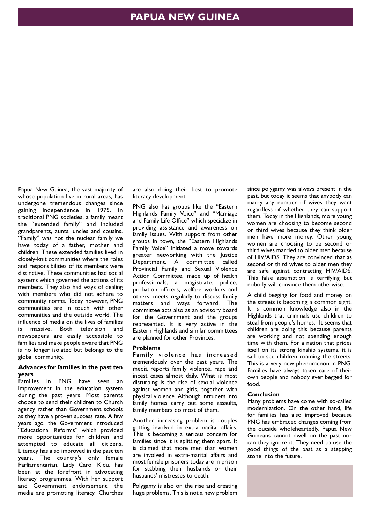Papua New Guinea, the vast majority of whose population live in rural areas, has undergone tremendous changes since gaining independence in 1975. In traditional PNG societies, a family meant the "extended family" and included grandparents, aunts, uncles and cousins. "Family" was not the nuclear family we have today of a father, mother and children. These extended families lived in closely-knit communities where the roles and responsibilities of its members were distinctive. These communities had social systems which governed the actions of its members. They also had ways of dealing with members who did not adhere to community norms. Today however, PNG communities are in touch with other communities and the outside world. The influence of media on the lives of families is massive. Both television and newspapers are easily accessible to families and make people aware that PNG is no longer isolated but belongs to the global community.

### **Advances for families in the past ten years**

Families in PNG have seen an improvement in the education system during the past years. Most parents choose to send their children to Church agency rather than Government schools as they have a proven success rate. A few years ago, the Government introduced "Educational Reforms" which provided more opportunities for children and attempted to educate all citizens. Literacy has also improved in the past ten years. The country's only female Parliamentarian, Lady Carol Kidu, has been at the forefront in advocating literacy programmes. With her support and Government endorsement, the media are promoting literacy. Churches

are also doing their best to promote literacy development.

PNG also has groups like the "Eastern Highlands Family Voice" and "Marriage and Family Life Office" which specialize in providing assistance and awareness on family issues. With support from other groups in town, the "Eastern Highlands Family Voice" initiated a move towards greater networking with the Justice Department. A committee called Provincial Family and Sexual Violence Action Committee, made up of health professionals, a magistrate, police, probation officers, welfare workers and others, meets regularly to discuss family matters and ways forward. The committee acts also as an advisory board for the Government and the groups represented. It is very active in the Eastern Highlands and similar committees are planned for other Provinces.

### **Problems**

Family violence has increased tremendously over the past years. The media reports family violence, rape and incest cases almost daily. What is most disturbing is the rise of sexual violence against women and girls, together with physical violence. Although intruders into family homes carry out some assaults, family members do most of them.

Another increasing problem is couples getting involved in extra-marital affairs. This is becoming a serious concern for families since it is splitting them apart. It is claimed that more men than women are involved in extra-marital affairs and most female prisoners today are in prison for stabbing their husbands or their husbands' mistresses to death.

Polygamy is also on the rise and creating huge problems. This is not a new problem

since polygamy was always present in the past, but today it seems that anybody can marry any number of wives they want regardless of whether they can support them. Today in the Highlands, more young women are choosing to become second or third wives because they think older men have more money. Other young women are choosing to be second or third wives married to older men because of HIV/AIDS. They are convinced that as second or third wives to older men they are safe against contracting HIV/AIDS. This false assumption is terrifying but nobody will convince them otherwise.

A child begging for food and money on the streets is becoming a common sight. It is common knowledge also in the Highlands that criminals use children to steal from people's homes. It seems that children are doing this because parents are working and not spending enough time with them. For a nation that prides itself on its strong kinship systems, it is sad to see children roaming the streets. This is a very new phenomenon in PNG. Families have always taken care of their own people and nobody ever begged for food.

### **Conclusion**

Many problems have come with so-called modernization. On the other hand, life for families has also improved because PNG has embraced changes coming from the outside wholeheartedly. Papua New Guineans cannot dwell on the past nor can they ignore it. They need to use the good things of the past as a stepping stone into the future.

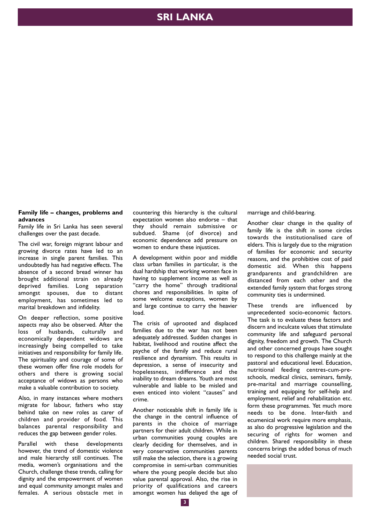### **SRI LANKA**

#### **Family life – changes, problems and advances**

Family life in Sri Lanka has seen several challenges over the past decade.

The civil war, foreign migrant labour and growing divorce rates have led to an increase in single parent families. This undoubtedly has had negative effects. The absence of a second bread winner has brought additional strain on already deprived families. Long separation amongst spouses, due to distant employment, has sometimes led to marital breakdown and infidelity.

On deeper reflection, some positive aspects may also be observed. After the loss of husbands, culturally and economically dependent widows are increasingly being compelled to take initiatives and responsibility for family life. The spirituality and courage of some of these women offer fine role models for others and there is growing social acceptance of widows as persons who make a valuable contribution to society.

Also, in many instances where mothers migrate for labour, fathers who stay behind take on new roles as carer of children and provider of food. This balances parental responsibility and reduces the gap between gender roles.

Parallel with these developments however, the trend of domestic violence and male hierarchy still continues. The media, women's organisations and the Church, challenge these trends, calling for dignity and the empowerment of women and equal community amongst males and females. A serious obstacle met in

countering this hierarchy is the cultural expectation women also endorse – that they should remain submissive or subdued. Shame (of divorce) and economic dependence add pressure on women to endure these injustices.

A development within poor and middle class urban families in particular, is the dual hardship that working women face in having to supplement income as well as "carry the home" through traditional chores and responsibilities. In spite of some welcome exceptions, women by and large continue to carry the heavier load.

The crisis of uprooted and displaced families due to the war has not been adequately addressed. Sudden changes in habitat, livelihood and routine affect the psyche of the family and reduce rural resilience and dynamism. This results in depression, a sense of insecurity and hopelessness, indifference and the inability to dream dreams. Youth are most vulnerable and liable to be misled and even enticed into violent "causes" and crime.

Another noticeable shift in family life is the change in the central influence of parents in the choice of marriage partners for their adult children. While in urban communities young couples are clearly deciding for themselves, and in very conservative communities parents still make the selection, there is a growing compromise in semi-urban communities where the young people decide but also value parental approval. Also, the rise in priority of qualifications and careers amongst women has delayed the age of marriage and child-bearing.

Another clear change in the quality of family life is the shift in some circles towards the institutionalised care of elders. This is largely due to the migration of families for economic and security reasons, and the prohibitive cost of paid domestic aid. When this happens grandparents and grandchildren are distanced from each other and the extended family system that forges strong community ties is undermined.

These trends are influenced by unprecedented socio-economic factors. The task is to evaluate these factors and discern and inculcate values that stimulate community life and safeguard personal dignity, freedom and growth. The Church and other concerned groups have sought to respond to this challenge mainly at the pastoral and educational level. Education, nutritional feeding centres-cum-preschools, medical clinics, seminars, family, pre-marital and marriage counselling, training and equipping for self-help and employment, relief and rehabilitation etc. form these programmes. Yet much more needs to be done. Inter-faith and ecumenical work require more emphasis, as also do progressive legislation and the securing of rights for women and children. Shared responsibility in these concerns brings the added bonus of much needed social trust.

**3**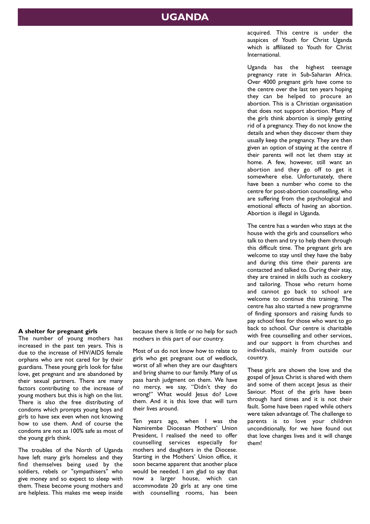### **UGANDA**

acquired. This centre is under the auspices of Youth for Christ Uganda which is affiliated to Youth for Christ International.

Uganda has the highest teenage pregnancy rate in Sub-Saharan Africa. Over 4000 pregnant girls have come to the centre over the last ten years hoping they can be helped to procure an abortion. This is a Christian organisation that does not support abortion. Many of the girls think abortion is simply getting rid of a pregnancy. They do not know the details and when they discover them they usually keep the pregnancy. They are then given an option of staying at the centre if their parents will not let them stay at home. A few, however, still want an abortion and they go off to get it somewhere else. Unfortunately, there have been a number who come to the centre for post-abortion counselling, who are suffering from the psychological and emotional effects of having an abortion. Abortion is illegal in Uganda.

The centre has a warden who stays at the house with the girls and counsellors who talk to them and try to help them through this difficult time. The pregnant girls are welcome to stay until they have the baby and during this time their parents are contacted and talked to. During their stay, they are trained in skills such as cookery and tailoring. Those who return home and cannot go back to school are welcome to continue this training. The centre has also started a new programme of finding sponsors and raising funds to pay school fees for those who want to go back to school. Our centre is charitable with free counselling and other services, and our support is from churches and individuals, mainly from outside our country.

These girls are shown the love and the gospel of Jesus Christ is shared with them and some of them accept Jesus as their Saviour. Most of the girls have been through hard times and it is not their fault. Some have been raped while others were taken advantage of. The challenge to parents is to love your children unconditionally, for we have found out that love changes lives and it will change them!

### **A shelter for pregnant girls**

The number of young mothers has increased in the past ten years. This is due to the increase of HIV/AIDS female orphans who are not cared for by their guardians. These young girls look for false love, get pregnant and are abandoned by their sexual partners. There are many factors contributing to the increase of young mothers but this is high on the list. There is also the free distributing of condoms which prompts young boys and girls to have sex even when not knowing how to use them. And of course the condoms are not as 100% safe as most of the young girls think.

The troubles of the North of Uganda have left many girls homeless and they find themselves being used by the soldiers, rebels or "sympathisers" who give money and so expect to sleep with them. These become young mothers and are helpless. This makes me weep inside

because there is little or no help for such mothers in this part of our country.

Most of us do not know how to relate to girls who get pregnant out of wedlock, worst of all when they are our daughters and bring shame to our family. Many of us pass harsh judgment on them. We have no mercy, we say, "Didn't they do wrong!" What would lesus do? Love them. And it is this love that will turn their lives around.

Ten years ago, when I was the Namirembe Diocesan Mothers' Union President, I realised the need to offer counselling services especially for mothers and daughters in the Diocese. Starting in the Mothers' Union office, it soon became apparent that another place would be needed. I am glad to say that now a larger house, which can accommodate 20 girls at any one time with counselling rooms, has been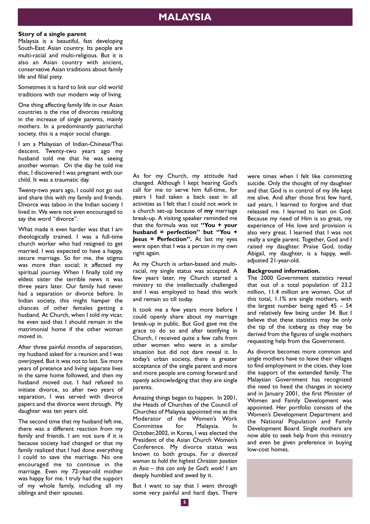### **MALAYSIA**

#### **Story of a single parent**

Malaysia is a beautiful, fast developing South-East Asian country. Its people are multi-racial and multi-religious. But it is also an Asian country with ancient, conservative Asian traditions about family life and filial piety.

Sometimes it is hard to link our old world traditions with our modern way of living.

One thing affecting family life in our Asian countries is the rise of divorces resulting in the increase of single parents, mainly mothers. In a predominantly patriarchal society, this is a major social change.

I am a Malaysian of Indian-Chinese/Thai descent. Twenty-two years ago my husband told me that he was seeing another woman. On the day he told me that, I discovered I was pregnant with our child. It was a traumatic day.

Twenty-two years ago, I could not go out and share this with my family and friends. Divorce was taboo in the Indian society I lived in. We were not even encouraged to say the word "divorce".

What made it even harder was that I am theologically trained. I was a full-time church worker who had resigned to get married. I was expected to have a happy, secure marriage. So for me, the stigma was more than social; it affected my spiritual journey. When I finally told my eldest sister the terrible news it was three years later. Our family had never had a separation or divorce before. In Indian society, this might hamper the chances of other females getting a husband. At Church, when I told my vicar, he even said that I should remain in the matrimonial home if the other woman moved in.

After three painful months of separation, my husband asked for a reunion and I was overjoyed. But it was not to last. Six more years of pretence and living separate lives in the same home followed, and then my husband moved out. I had refused to initiate divorce, so after two years of separation, I was served with divorce papers and the divorce went through. My daughter was ten years old.

The second time that my husband left me, there was a different reaction from my family and friends. I am not sure if it is because society had changed or that my family realized that I had done everything I could to save the marriage. No one encouraged me to continue in the marriage. Even my 72-year-old mother was happy for me. I truly had the support of my whole family, including all my siblings and their spouses.

As for my Church, my attitude had changed. Although I kept hearing God's call for me to serve him full-time, for years I had taken a back seat in all activities as I felt that I could not work in a church set-up because of **my** marriage break-up. A visiting speaker reminded me that the formula was *not* **"You + your husband = perfection" but "You + Jesus = Perfection".** At last my eyes were open that I was a person in my own right again.

As my Church is urban-based and multiracial, my single status was accepted. A few years later, my Church started a ministry to the intellectually challenged and I was employed to head this work and remain so till today.

It took me a few years more before I could openly share about my marriage break-up in public. But God gave me the grace to do so and after testifying in Church, I received quite a few calls from other women who were in a similar situation but did not dare reveal it. In today's urban society, there is greater acceptance of the single parent and more and more people are coming forward and openly acknowledging that they are single parents.

Amazing things began to happen. In 2001, the Heads of Churches of the Council of Churches of Malaysia appointed me as the Moderator of the Women's Work Committee for Malaysia. In October,2002, in Korea, I was elected the President of the Asian Church Women's Conference. My divorce status was known to both groups. *For a divorced woman to hold the highest Christian position in Asia – this can only be God's work!* I am deeply humbled and awed by it.

But I want to say that I went through some very painful and hard days. There

were times when I felt like committing suicide. Only the thought of my daughter and that God is in control of my life kept me alive. And after those first few hard, sad years, I learned to forgive and that released me. I learned to lean on God. Because my need of Him is so great, my experience of His love and provision is also very great. I learned that I was not really a single parent. Together, God and I raised my daughter. Praise God, today Abigail, my daughter, is a happy, welladjusted 21-year-old.

### **Background information.**

The 2000 Government statistics reveal that out of a total population of 23.2 million, 11.4 million are women. Out of this total, 1.1% are single mothers, with the largest number being aged  $45 - 54$ and relatively few being under 34. But I believe that these statistics may be only the tip of the iceberg as they may be derived from the figures of single mothers requesting help from the Government.

As divorce becomes more common and single mothers have to leave their villages to find employment in the cities, they lose the support of the extended family. The Malaysian Government has recognized the need to heed the changes in society and in January 2001, the first Minister of Women and Family Development was appointed. Her portfolio consists of the Women's Development Department and the National Population and Family Development Board. Single mothers are now able to seek help from this ministry and even be given preference in buying low-cost homes.

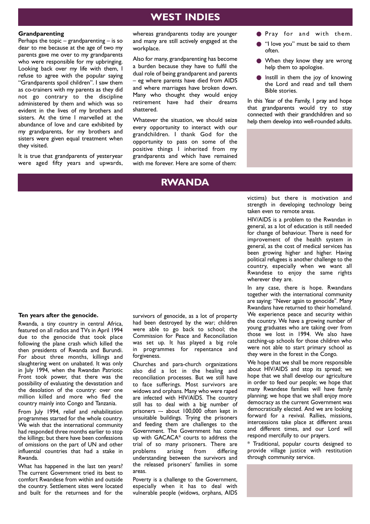### **WEST INDIES**

#### **Grandparenting**

Perhaps the topic – grandparenting – is so dear to me because at the age of two my parents gave me over to my grandparents who were responsible for my upbringing. Looking back over my life with them, I refuse to agree with the popular saying "Grandparents spoil children". I saw them as co-trainers with my parents as they did not go contrary to the discipline administered by them and which was so evident in the lives of my brothers and sisters. At the time I marvelled at the abundance of love and care exhibited by my grandparents, for my brothers and sisters were given equal treatment when they visited.

It is true that grandparents of yesteryear were aged fifty years and upwards, whereas grandparents today are younger and many are still actively engaged at the workplace.

Also for many, grandparenting has become a burden because they have to fulfil the dual role of being grandparent and parents – eg where parents have died from AIDS and where marriages have broken down. Many who thought they would enjoy retirement have had their dreams shattered.

Whatever the situation, we should seize every opportunity to interact with our grandchildren. I thank God for the opportunity to pass on some of the positive things I inherited from my grandparents and which have remained with me forever. Here are some of them:

### **RWANDA**

#### ● Pray for and with them.

- "I love you" must be said to them often.
- When they know they are wrong help them to apologise.
- **•** Instill in them the joy of knowing the Lord and read and tell them Bible stories.

In this Year of the Family, I pray and hope that grandparents would try to stay connected with their grandchildren and so help them develop into well-rounded adults.

### victims) but there is motivation and strength in developing technology being taken even to remote areas.

HIV/AIDS is a problem to the Rwandan in general, as a lot of education is still needed for change of behaviour. There is need for improvement of the health system in general, as the cost of medical services has been growing higher and higher. Having political refugees is another challenge to the country, especially when we want all Rwandese to enjoy the same rights wherever they are.

In any case, there is hope. Rwandans together with the international community are saying: "Never again to genocide". Many Rwandans have returned to their homeland. We experience peace and security within the country. We have a growing number of young graduates who are taking over from those we lost in 1994. We also have catching-up schools for those children who were not able to start primary school as they were in the forest in the Congo.

We hope that we shall be more responsible about HIV/AIDS and stop its spread; we hope that we shall develop our agriculture in order to feed our people; we hope that many Rwandese families will have family planning; we hope that we shall enjoy more democracy as the current Government was democratically elected. And we are looking forward for a revival. Rallies, missions, intercessions take place at different areas and different times, and our Lord will respond mercifully to our prayers.

\* Traditional, popular courts designed to provide village justice with restitution through community service.

**Ten years after the genocide.** Rwanda, a tiny country in central Africa,

featured on all radios and TVs in April 1994 due to the genocide that took place following the plane crash which killed the then presidents of Rwanda and Burundi. For about three months, killings and slaughtering went on unabated. It was only in July 1994, when the Rwandan Patriotic Front took power, that there was the possibility of evaluating the devastation and the desolation of the country: over one million killed and more who fled the country mainly into Congo and Tanzania.

From July 1994, relief and rehabilitation programmes started for the whole country. We wish that the international community had responded three months earlier to stop the killings; but there have been confessions of omissions on the part of UN and other influential countries that had a stake in Rwanda.

What has happened in the last ten years? The current Government tried its best to comfort Rwandese from within and outside the country. Settlement sites were located and built for the returnees and for the

survivors of genocide, as a lot of property had been destroyed by the war; children were able to go back to school; the Commission for Peace and Reconciliation was set up. It has played a big role in programmes for repentance and forgiveness.

Churches and para-church organizations also did a lot in the healing and reconciliation processes. But we still have to face sufferings. Most survivors are widows and orphans. Many who were raped are infected with HIV/AIDS. The country still has to deal with a big number of prisoners –- about 100,000 often kept in unsuitable buildings. Trying the prisoners and feeding them are challenges to the Government. The Government has come up with GACACA\* courts to address the trial of so many prisoners. There are<br>problems arising from differing problems arising from understanding between the survivors and the released prisoners' families in some areas.

Poverty is a challenge to the Government, especially when it has to deal with vulnerable people (widows, orphans, AIDS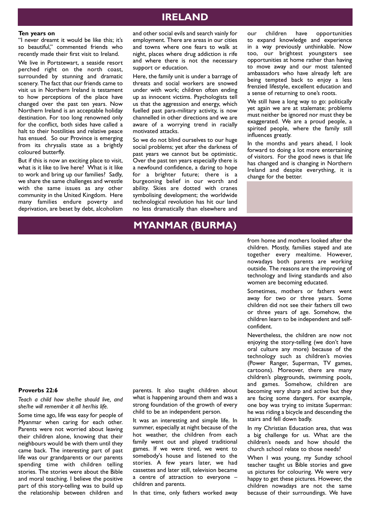### **IRELAND**

#### **Ten years on**

"I never dreamt it would be like this; it's so beautiful," commented friends who recently made their first visit to Ireland.

We live in Portstewart, a seaside resort perched right on the north coast, surrounded by stunning and dramatic scenery. The fact that our friends came to visit us in Northern Ireland is testament to how perceptions of the place have changed over the past ten years. Now Northern Ireland is an acceptable holiday destination. For too long renowned only for the conflict, both sides have called a halt to their hostilities and relative peace has ensued. So our Province is emerging from its chrysalis state as a brightly coloured butterfly.

But if this is now an exciting place to visit, what is it like to live here? What is it like to work and bring up our families? Sadly, we share the same challenges and wrestle with the same issues as any other community in the United Kingdom. Here many families endure poverty and deprivation, are beset by debt, alcoholism

and other social evils and search vainly for employment. There are areas in our cities and towns where one fears to walk at night, places where drug addiction is rife and where there is not the necessary support or education.

Here, the family unit is under a barrage of threats and social workers are snowed under with work; children often ending up as innocent victims. Psychologists tell us that the aggression and energy, which fuelled past para-military activity, is now channelled in other directions and we are aware of a worrying trend in racially motivated attacks.

So we do not blind ourselves to our huge social problems; yet after the darkness of past years we cannot but be optimistic. Over the past ten years especially there is a newfound confidence, a daring to hope for a brighter future; there is a burgeoning belief in our worth and ability. Skies are dotted with cranes symbolising development; the worldwide technological revolution has hit our land no less dramatically than elsewhere and

our children have opportunities to expand knowledge and experience in a way previously unthinkable. Now too, our brightest youngsters see opportunities at home rather than having to move away and our most talented ambassadors who have already left are being tempted back to enjoy a less frenzied lifestyle, excellent education and a sense of returning to one's roots.

We still have a long way to go: politically yet again we are at stalemate; problems must neither be ignored nor must they be exaggerated. We are a proud people, a spirited people, where the family still influences greatly.

In the months and years ahead, I look forward to doing a lot more entertaining of visitors. For the good news is that life has changed and is changing in Northern Ireland and despite everything, it is change for the better.

### **MYANMAR (BURMA)**

from home and mothers looked after the children. Mostly, families stayed and ate together every mealtime. However, nowadays both parents are working outside. The reasons are the improving of technology and living standards and also women are becoming educated.

Sometimes, mothers or fathers went away for two or three years. Some children did not see their fathers till two or three years of age. Somehow, the children learn to be independent and selfconfident.

Nevertheless, the children are now not enjoying the story-telling (we don't have oral culture any more) because of the technology such as children's movies (Power Ranger, Superman, TV games, cartoons). Moreover, there are many children's playgrounds, swimming pools, and games. Somehow, children are becoming very sharp and active but they are facing some dangers. For example, one boy was trying to imitate Superman: he was riding a bicycle and descending the stairs and fell down badly.

In my Christian Education area, that was a big challenge for us. What are the children's needs and how should the church school relate to those needs?

When I was young, my Sunday school teacher taught us Bible stories and gave us pictures for colouring. We were very happy to get these pictures. However, the children nowadays are not the same because of their surroundings. We have

### **Proverbs 22:6**

*Teach a child how she/he should live, and she/he will remember it all her/his life.*

Some time ago, life was easy for people of Myanmar when caring for each other. Parents were not worried about leaving their children alone, knowing that their neighbours would be with them until they came back. The interesting part of past life was our grandparents or our parents spending time with children telling stories. The stories were about the Bible and moral teaching. I believe the positive part of this story-telling was to build up the relationship between children and

parents. It also taught children about what is happening around them and was a strong foundation of the growth of every child to be an independent person.

It was an interesting and simple life. In summer, especially at night because of the hot weather, the children from each family went out and played traditional games. If we were tired, we went to somebody's house and listened to the stories. A few years later, we had cassettes and later still, television became a centre of attraction to everyone – children and parents.

In that time, only fathers worked away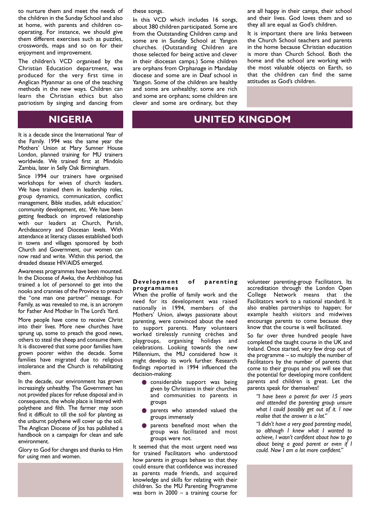to nurture them and meet the needs of the children in the Sunday School and also at home, with parents and children cooperating. For instance, we should give them different exercises such as puzzles, crosswords, maps and so on for their enjoyment and improvement.

The children's VCD organised by the Christian Education department, was produced for the very first time in Anglican Myanmar as one of the teaching methods in the new ways. Children can learn the Christian ethics but also patriotism by singing and dancing from

### **NIGERIA**

It is a decade since the International Year of the Family. 1994 was the same year the Mothers' Union at Mary Sumner House London, planned training for MU trainers worldwide. We trained first at Mindolo Zambia, later in Selly Oak Birmingham.

Since 1994 our trainers have organised workshops for wives of church leaders. We have trained them in leadership roles, group dynamics, communication, conflict management, Bible studies, adult education;' community development, etc. We have been getting feedback on improved relationship with our leaders at Church, Parish, Archdeaconry and Diocesan levels. With attendance at literacy classes established both in towns and villages sponsored by both Church and Government, our women can now read and write. Within this period, the dreaded disease HIV/AIDS emerged.

Awareness programmes have been mounted. In the Diocese of Awka, the Archbishop has trained a lot of personnel to get into the nooks and crannies of the Province to preach the "one man one partner" message. For Family, as was revealed to me, is an acronym for Father And Mother In The Lord's Yard.

More people have come to receive Christ into their lives. More new churches have sprung up, some to preach the good news, others to steal the sheep and consume them. It is discovered that some poor families have grown poorer within the decade. Some families have migrated due to religious intolerance and the Church is rehabilitating them.

In the decade, our environment has grown increasingly unhealthy. The Government has not provided places for refuse disposal and in consequence, the whole place is littered with polythene and filth. The farmer may soon find it difficult to till the soil for planting as the unburnt polythene will cover up the soil. The Anglican Diocese of Jos has published a handbook on a campaign for clean and safe environment.

Glory to God for changes and thanks to Him for using men and women.

these songs.

In this VCD which includes 16 songs, about 380 children participated. Some are from the Outstanding Children camp and some are in Sunday School at Yangon churches. (Outstanding Children are those selected for being active and clever in their diocesan camps.) Some children are orphans from Orphanage in Mandalay diocese and some are in Deaf school in Yangon. Some of the children are healthy and some are unhealthy; some are rich and some are orphans; some children are clever and some are ordinary, but they are all happy in their camps, their school and their lives. God loves them and so they all are equal as God's children.

It is important there are links between the Church School teachers and parents in the home because Christian education is more than Church School. Both the home and the school are working with the most valuable objects on Earth, so that the children can find the same attitudes as God's children.

### **UNITED KINGDOM**

#### **Development of parenting programames**

When the profile of family work and the need for its development was raised nationally in 1994, members of the Mothers' Union, always passionate about parenting, were convinced about the need to support parents. Many volunteers worked tirelessly running crèches and playgroups, organising holidays and celebrations. Looking towards the new Millennium, the MU considered how it might develop its work further. Research findings reported in 1994 influenced the decision-making:

- **O** considerable support was being given by Christians in their churches and communities to parents in groups
- parents who attended valued the groups immensely
- parents benefited most when the group was facilitated and most groups were not.

It seemed that the most urgent need was for trained Facilitators who understood how parents in groups behave so that they could ensure that confidence was increased as parents made friends, and acquired knowledge and skills for relating with their children. So the MU Parenting Programme was born in 2000 – a training course for

volunteer parenting-group Facilitators. Its accreditation through the London Open College Network means that the Facilitators work to a national standard. It also enables partnerships to happen; for example health visitors and midwives encourage parents to come because they know that the course is well facilitated.

So far over three hundred people have completed the taught course in the UK and Ireland. Once started, very few drop out of the programme – so multiply the number of Facilitators by the number of parents that come to their groups and you will see that the potential for developing more confident parents and children is great. Let the parents speak for themselves!

*"I have been a parent for over 15 years and attended the parenting group unsure what I could possibly get out of it. I now realise that the answer is a lot."*

*"I didn't have a very good parenting model, so although I knew what I wanted to achieve, I wasn't confident about how to go about being a good parent or even if I could. Now I am a lot more confident."*

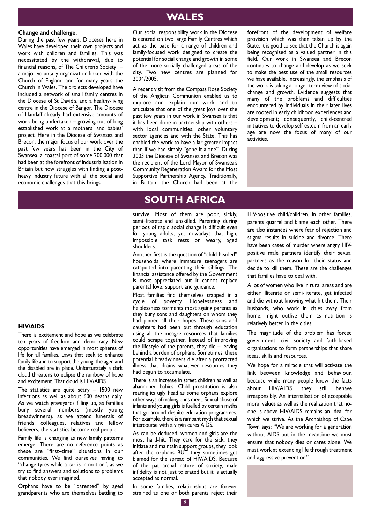### **WALES**

### **Change and challenge.**

During the past few years, Dioceses here in Wales have developed their own projects and work with children and families. This was necessitated by the withdrawal, due to financial reasons, of The Children's Society – a major voluntary organization linked with the Church of England and for many years the Church in Wales. The projects developed have included a network of small family centres in the Diocese of St David's, and a healthy-living centre in the Diocese of Bangor. The Diocese of Llandaff already had extensive amounts of work being undertaken – growing out of long established work at a mothers' and babies' project. Here in the Diocese of Swansea and Brecon, the major focus of our work over the past few years has been in the City of Swansea, a coastal port of some 200,000 that had been at the forefront of industrialisation in Britain but now struggles with finding a postheavy industry future with all the social and economic challenges that this brings.

Our social responsibility work in the Diocese is centred on two large Family Centres which act as the base for a range of children and family-focused work designed to create the potential for social change and growth in some of the more socially challenged areas of the city. Two new centres are planned for 2004/2005.

A recent visit from the Compass Rose Society of the Anglican Communion enabled us to explore and explain our work and to articulate that one of the great joys over the past few years in our work in Swansea is that it has been done in partnership with others – with local communities, other voluntary sector agencies and with the State. This has enabled the work to have a far greater impact than if we had simply "gone it alone". During 2003 the Diocese of Swansea and Brecon was the recipient of the Lord Mayor of Swansea's Community Regeneration Award for the Most Supportive Partnership Agency. Traditionally, in Britain, the Church had been at the

forefront of the development of welfare provision which was then taken up by the State. It is good to see that the Church is again being recognised as a valued partner in this field. Our work in Swansea and Brecon continues to change and develop as we seek to make the best use of the small resources we have available. Increasingly, the emphasis of the work is taking a longer-term view of social change and growth. Evidence suggests that many of the problems and difficulties encountered by individuals in their later lives are rooted in early childhood experiences and development; consequently, child-centred initiatives to develop self-esteem from an early age are now the focus of many of our activities.

### **SOUTH AFRICA**

survive. Most of them are poor, sickly, semi–literate and unskilled. Parenting during periods of rapid social change is difficult even for young adults, yet nowadays that high, impossible task rests on weary, aged shoulders.

Another first is the question of "child-headed" households where immature teenagers are catapulted into parenting their siblings. The financial assistance offered by the Government is most appreciated but it cannot replace parental love, support and guidance.

Most families find themselves trapped in a cycle of poverty. Hopelessness and helplessness torments most ageing parents as they bury sons and daughters on whom they had pinned all their hopes. These sons and daughters had been put through education using all the meagre resources that families could scrape together. Instead of improving the lifestyle of the parents, they die – leaving behind a burden of orphans. Sometimes, these potential breadwinners die after a protracted illness that drains whatever resources they had begun to accumulate.

There is an increase in street children as well as abandoned babies. Child prostitution is also rearing its ugly head as some orphans explore other ways of making ends meet. Sexual abuse of infants and young girls is fuelled by certain myths that go around despite education programmes. For example, there is a rampant myth that sexual intercourse with a virgin cures AIDS.

As can be deduced, women and girls are the most hard-hit. They care for the sick, they initiate and maintain support groups, they look after the orphans BUT they sometimes get blamed for the spread of HIV/AIDS. Because of the patriarchal nature of society, male infidelity is not just tolerated but it is actually accepted as normal.

In some families, relationships are forever strained as one or both parents reject their HIV-positive child/children. In other families, parents quarrel and blame each other. There are also instances where fear of rejection and stigma results in suicide and divorce. There have been cases of murder where angry HIVpositive male partners identify their sexual partners as the reason for their status and decide to kill them. These are the challenges that families have to deal with.

A lot of women who live in rural areas and are either illiterate or semi-literate, get infected and die without knowing what hit them. Their husbands, who work in cities away from home, might outlive them as nutrition is relatively better in the cities.

The magnitude of the problem has forced government, civil society and faith-based organisations to form partnerships that share ideas, skills and resources.

We hope for a miracle that will activate the link between knowledge and behaviour, because while many people know the facts about HIV/AIDS, they still behave irresponsibly. An internalisation of acceptable moral values as well as the realization that noone is above HIV/AIDS remains an ideal for which we strive. As the Archbishop of Cape Town says: "We are working for a generation without AIDS but in the meantime we must ensure that nobody dies or cares alone. We must work at extending life through treatment and aggressive prevention."

#### **HIV/AIDS**

There is excitement and hope as we celebrate ten years of freedom and democracy. New opportunities have emerged in most spheres of life for all families. Laws that seek to enhance family life and to support the young, the aged and the disabled are in place. Unfortunately a dark cloud threatens to eclipse the rainbow of hope and excitement. That cloud is HIV/AIDS.

The statistics are quite scary  $-$  1500 new infections as well as about 600 deaths daily. As we watch graveyards filling up, as families bury several members (mostly young breadwinners), as we attend funerals of friends, colleagues, relatives and fellow believers, the statistics become real people.

Family life is changing as new family patterns emerge. There are no reference points as these are "first–time" situations in our communities. We find ourselves having to "change tyres while a car is in motion", as we try to find answers and solutions to problems that nobody ever imagined.

Orphans have to be "parented" by aged grandparents who are themselves battling to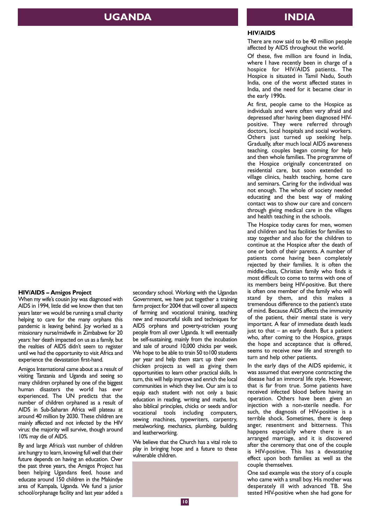### **UGANDA INDIA**

### **HIV/AIDS**

There are now said to be 40 million people affected by AIDS throughout the world.

Of these, five million are found in India, where I have recently been in charge of a hospice for HIV/AIDS patients. The Hospice is situated in Tamil Nadu, South India, one of the worst affected states in India, and the need for it became clear in the early 1990s.

At first, people came to the Hospice as individuals and were often very afraid and depressed after having been diagnosed HIVpositive. They were referred through doctors, local hospitals and social workers. Others just turned up seeking help. Gradually, after much local AIDS awareness teaching, couples began coming for help and then whole families. The programme of the Hospice originally concentrated on residential care, but soon extended to village clinics, health teaching, home care and seminars. Caring for the individual was not enough. The whole of society needed educating and the best way of making contact was to show our care and concern through giving medical care in the villages and health teaching in the schools.

The Hospice today cares for men, women and children and has facilities for families to stay together and also for the children to continue at the Hospice after the death of one or both of their parents. A number of patients come having been completely rejected by their families. It is often the middle-class, Christian family who finds it most difficult to come to terms with one of its members being HIV-positive. But there is often one member of the family who will stand by them, and this makes a tremendous difference to the patient's state of mind. Because AIDS affects the immunity of the patient, their mental state is very important. A fear of immediate death leads just to that  $-$  an early death. But a patient who, after coming to the Hospice, grasps the hope and acceptance that is offered, seems to receive new life and strength to turn and help other patients.

In the early days of the AIDS epidemic, it was assumed that everyone contracting the disease had an immoral life style. However, that is far from true. Some patients have received infected blood before having an operation. Others have been given an injection with a non-sterile needle. For such, the diagnosis of HIV-positive is a terrible shock. Sometimes, there is deep anger, resentment and bitterness. This happens especially where there is an arranged marriage, and it is discovered after the ceremony that one of the couple is HIV-positive. This has a devastating effect upon both families as well as the couple themselves.

One sad example was the story of a couple who came with a small boy. His mother was desperately ill with advanced TB. She tested HIV-positive when she had gone for

### **HIV/AIDS – Amigos Project**

When my wife's cousin Joy was diagnosed with AIDS in 1994, little did we know then that ten years later we would be running a small charity helping to care for the many orphans this pandemic is leaving behind. Joy worked as a missionary nurse/midwife in Zimbabwe for 20 years: her death impacted on us as a family, but the realties of AIDS didn't seem to register until we had the opportunity to visit Africa and experience the devastation first-hand.

Amigos International came about as a result of visiting Tanzania and Uganda and seeing so many children orphaned by one of the biggest human disasters the world has ever experienced. The UN predicts that the number of children orphaned as a result of AIDS in Sub-Saharan Africa will plateau at around 40 million by 2030. These children are mainly affected and not infected by the HIV virus: the majority will survive, though around 10% may die of AIDS.

By and large Africa's vast number of children are hungry to learn, knowing full well that their future depends on having an education. Over the past three years, the Amigos Project has been helping Ugandans feed, house and educate around 150 children in the Makindye area of Kampala, Uganda. We fund a junior school/orphanage facility and last year added a

secondary school. Working with the Ugandan Government, we have put together a training farm project for 2004 that will cover all aspects of farming and vocational training, teaching new and resourceful skills and techniques for AIDS orphans and poverty-stricken young people from all over Uganda. It will eventually be self-sustaining, mainly from the incubation and sale of around 10,000 chicks per week. We hope to be able to train 50 to 100 students per year and help them start up their own chicken projects as well as giving them opportunities to learn other practical skills. In turn, this will help improve and enrich the local communities in which they live. Our aim is to equip each student with not only a basic education in reading, writing and maths, but also biblical principles, chicks or seeds and/or vocational tools including computers, sewing machines, typewriters, carpentry, metalworking, mechanics, plumbing, building and leatherworking.

We believe that the Church has a vital role to play in bringing hope and a future to these vulnerable children.

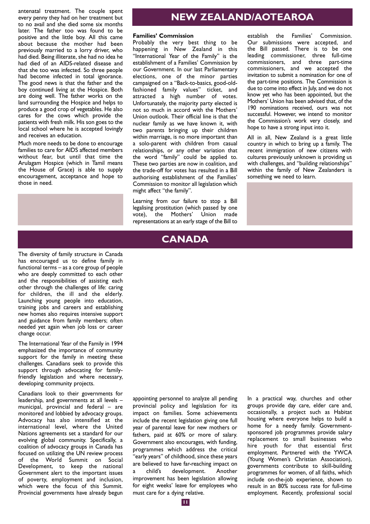antenatal treatment. The couple spent every penny they had on her treatment but to no avail and she died some six months later. The father too was found to be positive and the little boy. All this came about because the mother had been previously married to a lorry driver, who had died. Being illiterate, she had no idea he had died of an AIDS-related disease and that she too was infected. So three people had become infected in total ignorance. The good news is that the father and the boy continued living at the Hospice. Both are doing well. The father works on the land surrounding the Hospice and helps to produce a good crop of vegetables. He also cares for the cows which provide the patients with fresh milk. His son goes to the local school where he is accepted lovingly and receives an education.

Much more needs to be done to encourage families to care for AIDS affected members without fear, but until that time the Arulagam Hospice (which in Tamil means the House of Grace) is able to supply encouragement, acceptance and hope to those in need.

## **NEW ZEALAND/AOTEAROA**

### **Families' Commission**

Probably the very best thing to be happening in New Zealand in this "International Year of the Family" is the establishment of a Families' Commission by our Government. In our last Parliamentary elections, one of the minor parties campaigned on a "Back-to-basics, good-oldfashioned family values" ticket, and attracted a high number of votes. Unfortunately, the majority party elected is not so much in accord with the Mothers' Union outlook. Their official line is that the nuclear family as we have known it, with two parents bringing up their children within marriage, is no more important than a solo-parent with children from casual relationships, or any other variation that the word "family" could be applied to. These two parties are now in coalition, and the trade-off for votes has resulted in a Bill authorising establishment of the Families' Commission to monitor all legislation which might affect "the family".

Learning from our failure to stop a Bill legalising prostitution (which passed by one vote), the Mothers' Union made representations at an early stage of the Bill to establish the Families' Commission. Our submissions were accepted, and the Bill passed. There is to be one leading commissioner, three full-time commissioners, and three part-time commissioners, and we accepted the invitation to submit a nomination for one of the part-time positions. The Commission is due to come into effect in July, and we do not know yet who has been appointed, but the Mothers' Union has been advised that, of the 190 nominations received, ours was not successful. However, we intend to monitor the Commission's work very closely, and hope to have a strong input into it.

All in all, New Zealand is a great little country in which to bring up a family. The recent immigration of new citizens with cultures previously unknown is providing us with challenges, and "building relationships" within the family of New Zealanders is something we need to learn.

### **CANADA**

The diversity of family structure in Canada has encouraged us to define family in functional terms – as a core group of people who are deeply committed to each other and the responsibilities of assisting each other through the challenges of life: caring for children, the ill and the elderly. Launching young people into education, training jobs and careers and establishing new homes also requires intensive support and guidance from family members; often needed yet again when job loss or career change occur.

The International Year of the Family in 1994 emphasized the importance of community support for the family in meeting these challenges. Canadians seek to provide this support through advocating for familyfriendly legislation and where necessary, developing community projects.

Canadians look to their governments for leadership, and governments at all levels – municipal, provincial and federal – are monitored and lobbied by advocacy groups. Advocacy has also intensified at the international level, where the United Nations agreements set a standard for our evolving global community. Specifically, a coalition of advocacy groups in Canada has focused on utilizing the UN review process of the World Summit on Social Development, to keep the national Government alert to the important issues of poverty, employment and inclusion, which were the focus of this Summit. Provincial governments have already begun

appointing personnel to analyze all pending provincial policy and legislation for its impact on families. Some achievements include the recent legislation giving one full year of parental leave for new mothers or fathers, paid at 60% or more of salary. Government also encourages, with funding, programmes which address the critical "early years" of childhood, since these years are believed to have far-reaching impact on child's development. Another improvement has been legislation allowing for eight weeks' leave for employees who must care for a dying relative.

In a practical way, churches and other groups provide day care, elder care and, occasionally, a project such as Habitat housing where everyone helps to build a home for a needy family. Governmentsponsored job programmes provide salary replacement to small businesses who hire youth for that essential first employment. Partnered with the YWCA (Young Women's Christian Association), governments contribute to skill-building programmes for women, of all faiths, which include on-the-job experience, shown to result in an 80% success rate for full-time employment. Recently, professional social

**11**